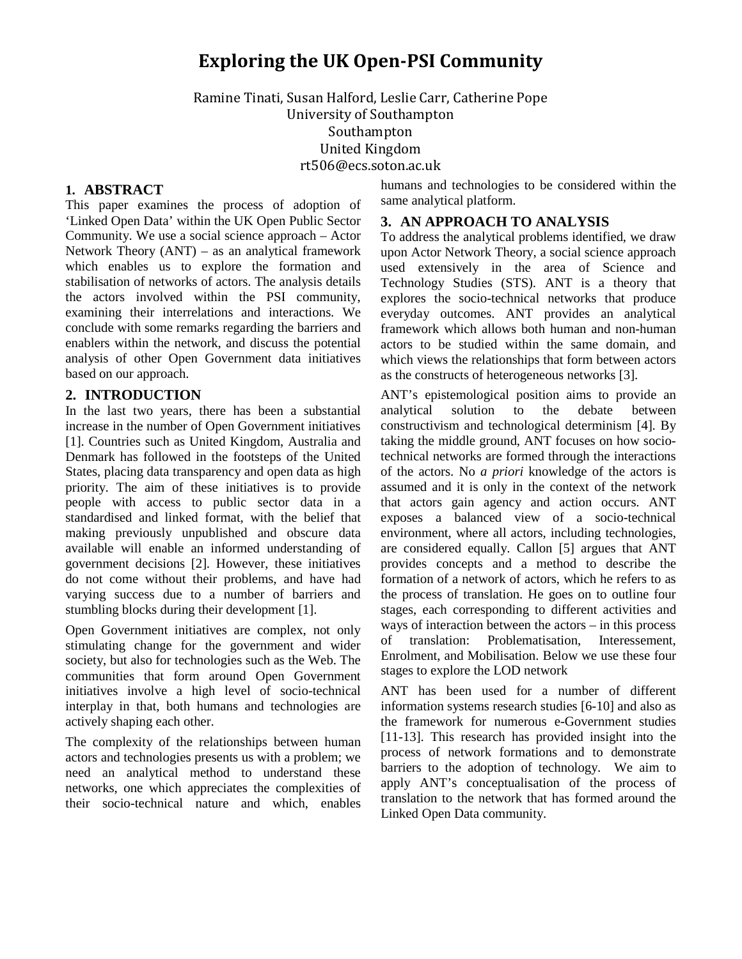# **Exploring the UK Open-PSI Community**

Ramine Tinati, Susan Halford, Leslie Carr, Catherine Pope University of Southampton Southampton United Kingdom rt506@ecs.soton.ac.uk

#### **1. ABSTRACT**

This paper examines the process of adoption of 'Linked Open Data' within the UK Open Public Sector Community. We use a social science approach – Actor Network Theory (ANT) – as an analytical framework which enables us to explore the formation and stabilisation of networks of actors. The analysis details the actors involved within the PSI community, examining their interrelations and interactions. We conclude with some remarks regarding the barriers and enablers within the network, and discuss the potential analysis of other Open Government data initiatives based on our approach.

#### **2. INTRODUCTION**

In the last two years, there has been a substantial increase in the number of Open Government initiatives [1]. Countries such as United Kingdom, Australia and Denmark has followed in the footsteps of the United States, placing data transparency and open data as high priority. The aim of these initiatives is to provide people with access to public sector data in a standardised and linked format, with the belief that making previously unpublished and obscure data available will enable an informed understanding of government decisions [2]. However, these initiatives do not come without their problems, and have had varying success due to a number of barriers and stumbling blocks during their development [1].

Open Government initiatives are complex, not only stimulating change for the government and wider society, but also for technologies such as the Web. The communities that form around Open Government initiatives involve a high level of socio-technical interplay in that, both humans and technologies are actively shaping each other.

The complexity of the relationships between human actors and technologies presents us with a problem; we need an analytical method to understand these networks, one which appreciates the complexities of their socio-technical nature and which, enables

humans and technologies to be considered within the same analytical platform.

#### **3. AN APPROACH TO ANALYSIS**

To address the analytical problems identified, we draw upon Actor Network Theory, a social science approach used extensively in the area of Science and Technology Studies (STS). ANT is a theory that explores the socio-technical networks that produce everyday outcomes. ANT provides an analytical framework which allows both human and non-human actors to be studied within the same domain, and which views the relationships that form between actors as the constructs of heterogeneous networks [3].

ANT's epistemological position aims to provide an analytical solution to the debate between constructivism and technological determinism [4]. By taking the middle ground, ANT focuses on how sociotechnical networks are formed through the interactions of the actors. No *a priori* knowledge of the actors is assumed and it is only in the context of the network that actors gain agency and action occurs. ANT exposes a balanced view of a socio-technical environment, where all actors, including technologies, are considered equally. Callon [5] argues that ANT provides concepts and a method to describe the formation of a network of actors, which he refers to as the process of translation. He goes on to outline four stages, each corresponding to different activities and ways of interaction between the actors – in this process of translation: Problematisation, Interessement, Enrolment, and Mobilisation. Below we use these four stages to explore the LOD network

ANT has been used for a number of different information systems research studies [6-10] and also as the framework for numerous e-Government studies [11-13]. This research has provided insight into the process of network formations and to demonstrate barriers to the adoption of technology. We aim to apply ANT's conceptualisation of the process of translation to the network that has formed around the Linked Open Data community.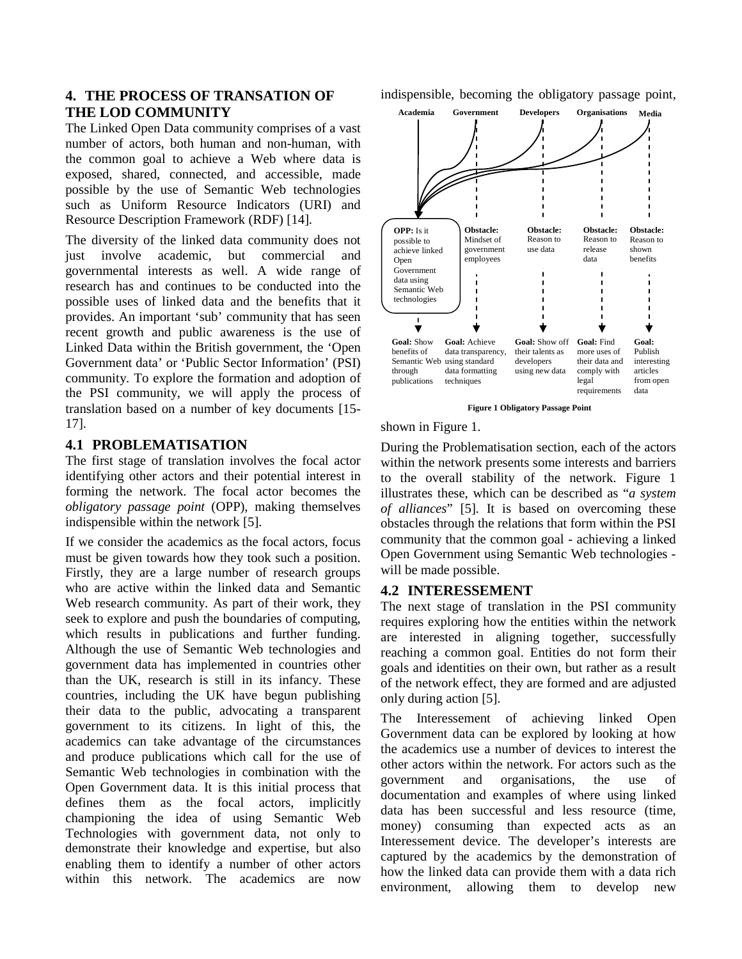#### **4. THE PROCESS OF TRANSATION OF THE LOD COMMUNITY**

The Linked Open Data community comprises of a vast number of actors, both human and non-human, with the common goal to achieve a Web where data is exposed, shared, connected, and accessible, made possible by the use of Semantic Web technologies such as Uniform Resource Indicators (URI) and Resource Description Framework (RDF) [14].

The diversity of the linked data community does not just involve academic, but commercial and governmental interests as well. A wide range of research has and continues to be conducted into the possible uses of linked data and the benefits that it provides. An important 'sub' community that has seen recent growth and public awareness is the use of Linked Data within the British government, the 'Open Government data' or 'Public Sector Information' (PSI) community. To explore the formation and adoption of the PSI community, we will apply the process of translation based on a number of key documents [15- 17].

#### **4.1 PROBLEMATISATION**

The first stage of translation involves the focal actor identifying other actors and their potential interest in forming the network. The focal actor becomes the *obligatory passage point* (OPP), making themselves indispensible within the network [5].

If we consider the academics as the focal actors, focus must be given towards how they took such a position. Firstly, they are a large number of research groups who are active within the linked data and Semantic Web research community. As part of their work, they seek to explore and push the boundaries of computing, which results in publications and further funding. Although the use of Semantic Web technologies and government data has implemented in countries other than the UK, research is still in its infancy. These countries, including the UK have begun publishing their data to the public, advocating a transparent government to its citizens. In light of this, the academics can take advantage of the circumstances and produce publications which call for the use of Semantic Web technologies in combination with the Open Government data. It is this initial process that defines them as the focal actors, implicitly championing the idea of using Semantic Web Technologies with government data, not only to demonstrate their knowledge and expertise, but also enabling them to identify a number of other actors within this network. The academics are now

indispensible, becoming the obligatory passage point,



**Figure 1 Obligatory Passage Point**

shown in Figure 1.

During the Problematisation section, each of the actors within the network presents some interests and barriers to the overall stability of the network. Figure 1 illustrates these, which can be described as "*a system of alliances*" [5]. It is based on overcoming these obstacles through the relations that form within the PSI community that the common goal - achieving a linked Open Government using Semantic Web technologies will be made possible.

## **4.2 INTERESSEMENT**

The next stage of translation in the PSI community requires exploring how the entities within the network are interested in aligning together, successfully reaching a common goal. Entities do not form their goals and identities on their own, but rather as a result of the network effect, they are formed and are adjusted only during action [5].

The Interessement of achieving linked Open Government data can be explored by looking at how the academics use a number of devices to interest the other actors within the network. For actors such as the government and organisations, the use of documentation and examples of where using linked data has been successful and less resource (time, money) consuming than expected acts as an Interessement device. The developer's interests are captured by the academics by the demonstration of how the linked data can provide them with a data rich environment, allowing them to develop new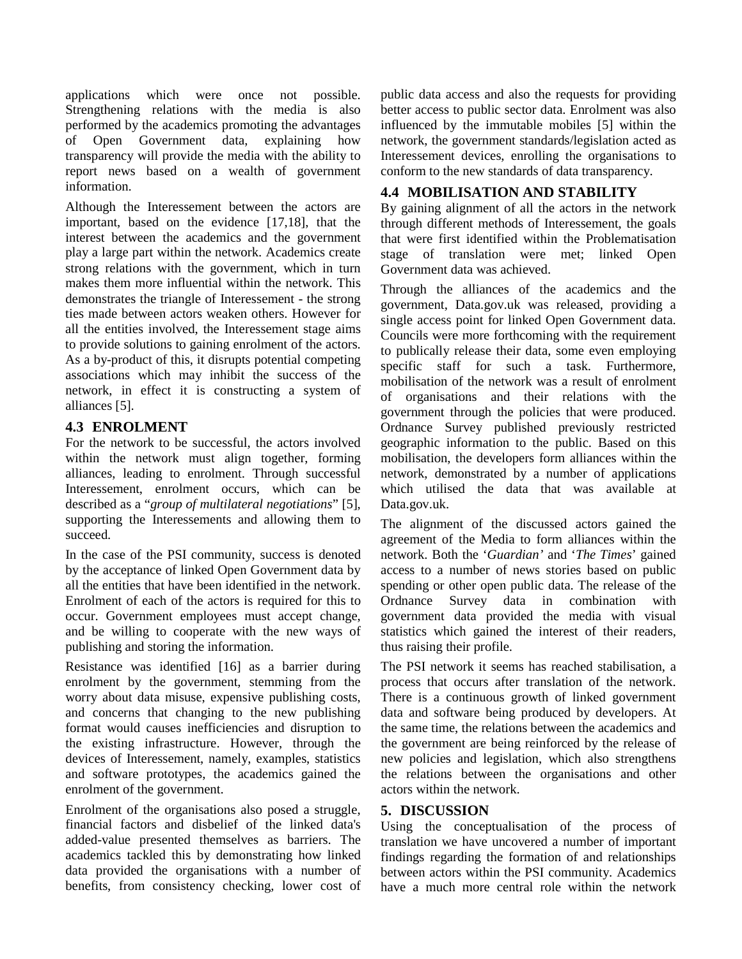applications which were once not possible. Strengthening relations with the media is also performed by the academics promoting the advantages of Open Government data, explaining how transparency will provide the media with the ability to report news based on a wealth of government information.

Although the Interessement between the actors are important, based on the evidence [17,18], that the interest between the academics and the government play a large part within the network. Academics create strong relations with the government, which in turn makes them more influential within the network. This demonstrates the triangle of Interessement - the strong ties made between actors weaken others. However for all the entities involved, the Interessement stage aims to provide solutions to gaining enrolment of the actors. As a by-product of this, it disrupts potential competing associations which may inhibit the success of the network, in effect it is constructing a system of alliances [5].

## **4.3 ENROLMENT**

For the network to be successful, the actors involved within the network must align together, forming alliances, leading to enrolment. Through successful Interessement, enrolment occurs, which can be described as a "*group of multilateral negotiations*" [5], supporting the Interessements and allowing them to succeed.

In the case of the PSI community, success is denoted by the acceptance of linked Open Government data by all the entities that have been identified in the network. Enrolment of each of the actors is required for this to occur. Government employees must accept change, and be willing to cooperate with the new ways of publishing and storing the information.

Resistance was identified [16] as a barrier during enrolment by the government, stemming from the worry about data misuse, expensive publishing costs, and concerns that changing to the new publishing format would causes inefficiencies and disruption to the existing infrastructure. However, through the devices of Interessement, namely, examples, statistics and software prototypes, the academics gained the enrolment of the government.

Enrolment of the organisations also posed a struggle, financial factors and disbelief of the linked data's added-value presented themselves as barriers. The academics tackled this by demonstrating how linked data provided the organisations with a number of benefits, from consistency checking, lower cost of public data access and also the requests for providing better access to public sector data. Enrolment was also influenced by the immutable mobiles [5] within the network, the government standards/legislation acted as Interessement devices, enrolling the organisations to conform to the new standards of data transparency.

## **4.4 MOBILISATION AND STABILITY**

By gaining alignment of all the actors in the network through different methods of Interessement, the goals that were first identified within the Problematisation stage of translation were met; linked Open Government data was achieved.

Through the alliances of the academics and the government, Data.gov.uk was released, providing a single access point for linked Open Government data. Councils were more forthcoming with the requirement to publically release their data, some even employing specific staff for such a task. Furthermore, mobilisation of the network was a result of enrolment of organisations and their relations with the government through the policies that were produced. Ordnance Survey published previously restricted geographic information to the public. Based on this mobilisation, the developers form alliances within the network, demonstrated by a number of applications which utilised the data that was available at Data.gov.uk.

The alignment of the discussed actors gained the agreement of the Media to form alliances within the network. Both the '*Guardian'* and '*The Times*' gained access to a number of news stories based on public spending or other open public data. The release of the Ordnance Survey data in combination with government data provided the media with visual statistics which gained the interest of their readers, thus raising their profile.

The PSI network it seems has reached stabilisation, a process that occurs after translation of the network. There is a continuous growth of linked government data and software being produced by developers. At the same time, the relations between the academics and the government are being reinforced by the release of new policies and legislation, which also strengthens the relations between the organisations and other actors within the network.

## **5. DISCUSSION**

Using the conceptualisation of the process of translation we have uncovered a number of important findings regarding the formation of and relationships between actors within the PSI community. Academics have a much more central role within the network